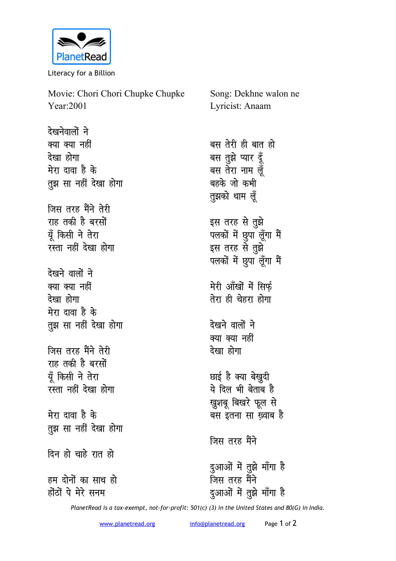

Literacy for a Billion

| Movie: Chori Chori Chupke Chupke | Song: Dekhne walon ne    |
|----------------------------------|--------------------------|
| Year:2001                        | Lyricist: Anaam          |
| देखनेवालों ने                    |                          |
| क्या क्या नहीं                   | बस तेरी ही बात हो        |
| देखा होगा                        | बस तुझे प्यार दूँ        |
| मेरा दावा है के                  | बस तेरा नाम लूँ          |
| तुझ सा नहीं देखा होगा            | बहके जो कभी              |
|                                  | तुझको थाम लूँ            |
| जिस तरह मैंने तेरी               |                          |
| राह तकी है बरसों                 | इस तरह से तुझे           |
| यूँ किसी ने तेरा                 | पलकों में छुपा लूँगा मैं |
| रस्ता नहीं देखा होगा             | इस तरह से तुझे           |
|                                  | पलकों में छुपा लूँगा मैं |
| देखने वालों ने                   |                          |
| क्या क्या नहीं                   | मेरी आँखों में सिर्फ़    |
| देखा होगा                        | तेरा ही चेहरा होगा       |
| मेरा दावा है के                  |                          |
| तुझ सा नहीं देखा होगा            | देखने वालों ने           |
|                                  | क्या क्या नहीं           |
| जिस तरह मैंने तेरी               | देखा होगा                |
| राह तकी है बरसों                 |                          |
| यूँ किसी ने तेरा                 | छाई है क्या बेखुदी       |
| रस्ता नहीं देखा होगा             | ये दिल भी बेताब है       |
|                                  | ख्रुशबू बिखरे फूल से     |
| मेरा दावा है के                  | बस इतना सा ख़्वाब है     |
| तुझ सा नहीं देखा होगा            |                          |
|                                  | जिस तरह मैंने            |
| दिन हो चाहे रात हो               |                          |
|                                  | दुआओं में तुझे माँगा है  |
| हम दोनों का साथ हो               | जिस तरह मैंने            |
| होंठों पे मेरे सनम               | दुआओं में तुझे माँगा है  |

*PlanetRead is a tax-exempt, not-for-profit: 501(c) (3) in the United States and 80(G) in India.*